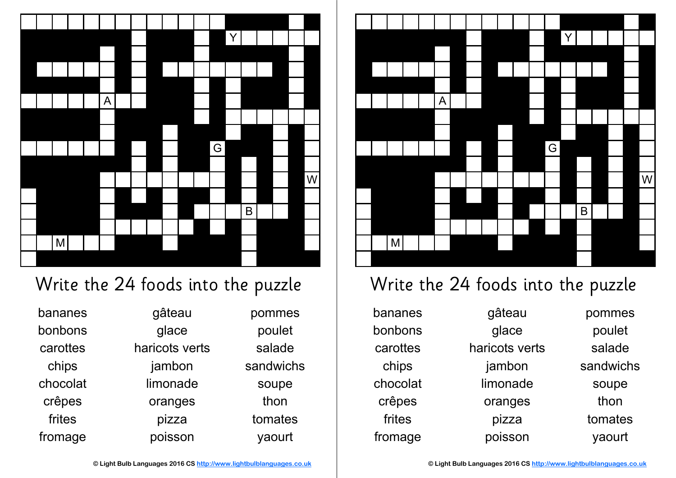

## Write the 24 foods into the puzzle

bananes bonbons carottes chips chocolat crêpes frites fromage

gâteau glace haricots verts jambon limonade oranges pizza poisson

pommes poulet salade sandwichs soupe thon tomates yaourt



## Write the 24 foods into the puzzle

bananes bonbons carottes chips chocolat crêpes frites fromage

gâteau glace haricots verts jambon limonade oranges pizza poisson

pommes

poulet

salade

sandwichs

soupe thon

tomates

yaourt